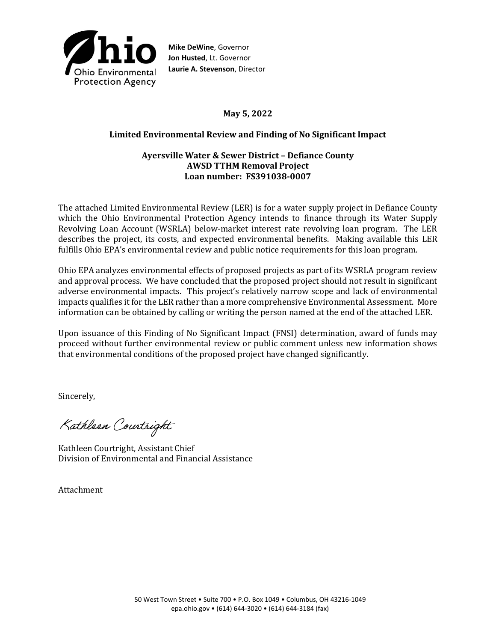

**Mike DeWine**, Governor **Jon Husted**, Lt. Governor **Laurie A. Stevenson**, Director

## **May 5, 2022**

## **Limited Environmental Review and Finding of No Significant Impact**

#### **Ayersville Water & Sewer District – Defiance County AWSD TTHM Removal Project Loan number: FS391038-0007**

The attached Limited Environmental Review (LER) is for a water supply project in Defiance County which the Ohio Environmental Protection Agency intends to finance through its Water Supply Revolving Loan Account (WSRLA) below-market interest rate revolving loan program. The LER describes the project, its costs, and expected environmental benefits. Making available this LER fulfills Ohio EPA's environmental review and public notice requirements for this loan program.

Ohio EPA analyzes environmental effects of proposed projects as part of its WSRLA program review and approval process. We have concluded that the proposed project should not result in significant adverse environmental impacts. This project's relatively narrow scope and lack of environmental impacts qualifies it for the LER rather than a more comprehensive Environmental Assessment. More information can be obtained by calling or writing the person named at the end of the attached LER.

Upon issuance of this Finding of No Significant Impact (FNSI) determination, award of funds may proceed without further environmental review or public comment unless new information shows that environmental conditions of the proposed project have changed significantly.

Sincerely,

Kathleen Courtright

Kathleen Courtright, Assistant Chief Division of Environmental and Financial Assistance

Attachment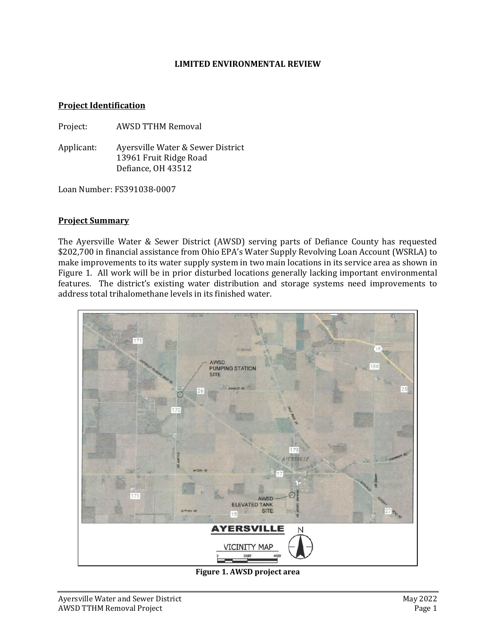#### **LIMITED ENVIRONMENTAL REVIEW**

#### **Project Identification**

Project: AWSD TTHM Removal

Applicant: Ayersville Water & Sewer District 13961 Fruit Ridge Road Defiance, OH 43512

Loan Number: FS391038-0007

#### **Project Summary**

The Ayersville Water & Sewer District (AWSD) serving parts of Defiance County has requested \$202,700 in financial assistance from Ohio EPA's Water Supply Revolving Loan Account (WSRLA) to make improvements to its water supply system in two main locations in its service area as shown in Figure 1. All work will be in prior disturbed locations generally lacking important environmental features. The district's existing water distribution and storage systems need improvements to address total trihalomethane levels in its finished water.



**Figure 1. AWSD project area**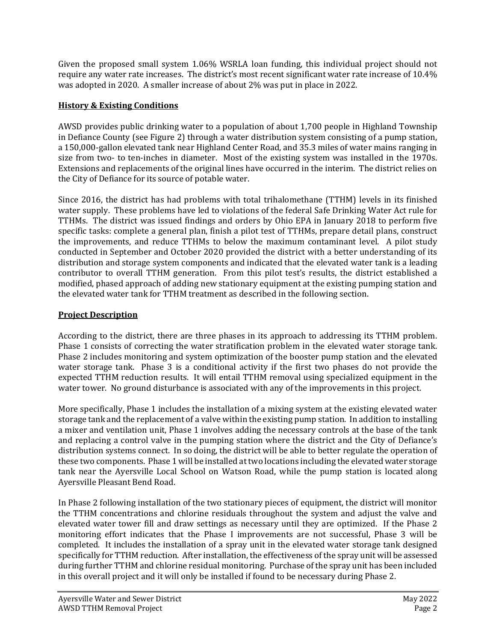Given the proposed small system 1.06% WSRLA loan funding, this individual project should not require any water rate increases. The district's most recent significant water rate increase of 10.4% was adopted in 2020. A smaller increase of about 2% was put in place in 2022.

## **History & Existing Conditions**

AWSD provides public drinking water to a population of about 1,700 people in Highland Township in Defiance County (see Figure 2) through a water distribution system consisting of a pump station, a 150,000-gallon elevated tank near Highland Center Road, and 35.3 miles of water mains ranging in size from two- to ten-inches in diameter. Most of the existing system was installed in the 1970s. Extensions and replacements of the original lines have occurred in the interim. The district relies on the City of Defiance for its source of potable water.

Since 2016, the district has had problems with total trihalomethane (TTHM) levels in its finished water supply. These problems have led to violations of the federal Safe Drinking Water Act rule for TTHMs. The district was issued findings and orders by Ohio EPA in January 2018 to perform five specific tasks: complete a general plan, finish a pilot test of TTHMs, prepare detail plans, construct the improvements, and reduce TTHMs to below the maximum contaminant level. A pilot study conducted in September and October 2020 provided the district with a better understanding of its distribution and storage system components and indicated that the elevated water tank is a leading contributor to overall TTHM generation. From this pilot test's results, the district established a modified, phased approach of adding new stationary equipment at the existing pumping station and the elevated water tank for TTHM treatment as described in the following section.

# **Project Description**

According to the district, there are three phases in its approach to addressing its TTHM problem. Phase 1 consists of correcting the water stratification problem in the elevated water storage tank. Phase 2 includes monitoring and system optimization of the booster pump station and the elevated water storage tank. Phase 3 is a conditional activity if the first two phases do not provide the expected TTHM reduction results. It will entail TTHM removal using specialized equipment in the water tower. No ground disturbance is associated with any of the improvements in this project.

More specifically, Phase 1 includes the installation of a mixing system at the existing elevated water storage tank and the replacement of a valve within the existing pump station. In addition to installing a mixer and ventilation unit, Phase 1 involves adding the necessary controls at the base of the tank and replacing a control valve in the pumping station where the district and the City of Defiance's distribution systems connect. In so doing, the district will be able to better regulate the operation of these two components. Phase 1 will be installed at two locations including the elevated water storage tank near the Ayersville Local School on Watson Road, while the pump station is located along Ayersville Pleasant Bend Road.

In Phase 2 following installation of the two stationary pieces of equipment, the district will monitor the TTHM concentrations and chlorine residuals throughout the system and adjust the valve and elevated water tower fill and draw settings as necessary until they are optimized. If the Phase 2 monitoring effort indicates that the Phase I improvements are not successful, Phase 3 will be completed. It includes the installation of a spray unit in the elevated water storage tank designed specifically for TTHM reduction. After installation, the effectiveness of the spray unit will be assessed during further TTHM and chlorine residual monitoring. Purchase of the spray unit has been included in this overall project and it will only be installed if found to be necessary during Phase 2.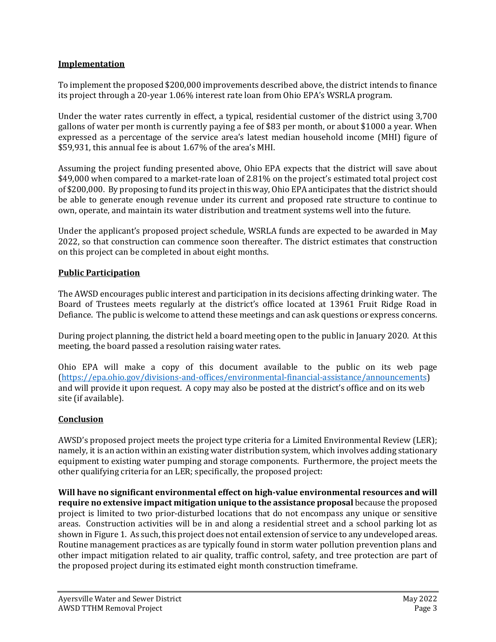#### **Implementation**

To implement the proposed \$200,000 improvements described above, the district intends to finance its project through a 20-year 1.06% interest rate loan from Ohio EPA's WSRLA program.

Under the water rates currently in effect, a typical, residential customer of the district using 3,700 gallons of water per month is currently paying a fee of \$83 per month, or about \$1000 a year. When expressed as a percentage of the service area's latest median household income (MHI) figure of \$59,931, this annual fee is about 1.67% of the area's MHI.

Assuming the project funding presented above, Ohio EPA expects that the district will save about \$49,000 when compared to a market-rate loan of 2.81% on the project's estimated total project cost of \$200,000. By proposing to fund its project in this way, Ohio EPA anticipates that the district should be able to generate enough revenue under its current and proposed rate structure to continue to own, operate, and maintain its water distribution and treatment systems well into the future.

Under the applicant's proposed project schedule, WSRLA funds are expected to be awarded in May 2022, so that construction can commence soon thereafter. The district estimates that construction on this project can be completed in about eight months.

#### **Public Participation**

The AWSD encourages public interest and participation in its decisions affecting drinking water. The Board of Trustees meets regularly at the district's office located at 13961 Fruit Ridge Road in Defiance. The public is welcome to attend these meetings and can ask questions or express concerns.

During project planning, the district held a board meeting open to the public in January 2020. At this meeting, the board passed a resolution raising water rates.

Ohio EPA will make a copy of this document available to the public on its web page [\(https://epa.ohio.gov/divisions-and-offices/environmental-financial-assistance/announcements\)](https://epa.ohio.gov/divisions-and-offices/environmental-financial-assistance/announcements) and will provide it upon request. A copy may also be posted at the district's office and on its web site (if available).

### **Conclusion**

AWSD's proposed project meets the project type criteria for a Limited Environmental Review (LER); namely, it is an action within an existing water distribution system, which involves adding stationary equipment to existing water pumping and storage components. Furthermore, the project meets the other qualifying criteria for an LER; specifically, the proposed project:

**Will have no significant environmental effect on high-value environmental resources and will require no extensive impact mitigation unique to the assistance proposal** because the proposed project is limited to two prior-disturbed locations that do not encompass any unique or sensitive areas. Construction activities will be in and along a residential street and a school parking lot as shown in Figure 1. As such, this project does not entail extension of service to any undeveloped areas. Routine management practices as are typically found in storm water pollution prevention plans and other impact mitigation related to air quality, traffic control, safety, and tree protection are part of the proposed project during its estimated eight month construction timeframe.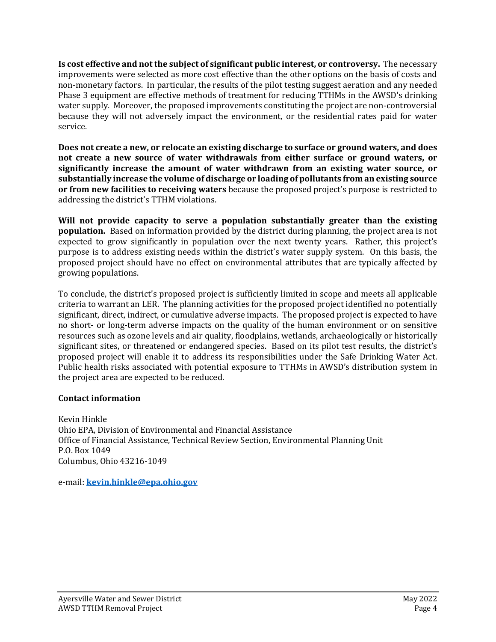**Is cost effective and not the subject of significant public interest, or controversy.** The necessary improvements were selected as more cost effective than the other options on the basis of costs and non-monetary factors. In particular, the results of the pilot testing suggest aeration and any needed Phase 3 equipment are effective methods of treatment for reducing TTHMs in the AWSD's drinking water supply. Moreover, the proposed improvements constituting the project are non-controversial because they will not adversely impact the environment, or the residential rates paid for water service.

**Does not create a new, or relocate an existing discharge to surface or ground waters, and does not create a new source of water withdrawals from either surface or ground waters, or significantly increase the amount of water withdrawn from an existing water source, or substantially increase the volume of discharge or loading of pollutants from an existing source or from new facilities to receiving waters** because the proposed project's purpose is restricted to addressing the district's TTHM violations.

**Will not provide capacity to serve a population substantially greater than the existing population.** Based on information provided by the district during planning, the project area is not expected to grow significantly in population over the next twenty years. Rather, this project's purpose is to address existing needs within the district's water supply system. On this basis, the proposed project should have no effect on environmental attributes that are typically affected by growing populations.

To conclude, the district's proposed project is sufficiently limited in scope and meets all applicable criteria to warrant an LER. The planning activities for the proposed project identified no potentially significant, direct, indirect, or cumulative adverse impacts. The proposed project is expected to have no short- or long-term adverse impacts on the quality of the human environment or on sensitive resources such as ozone levels and air quality, floodplains, wetlands, archaeologically or historically significant sites, or threatened or endangered species. Based on its pilot test results, the district's proposed project will enable it to address its responsibilities under the Safe Drinking Water Act. Public health risks associated with potential exposure to TTHMs in AWSD's distribution system in the project area are expected to be reduced.

### **Contact information**

Kevin Hinkle Ohio EPA, Division of Environmental and Financial Assistance Office of Financial Assistance, Technical Review Section, Environmental Planning Unit P.O. Box 1049 Columbus, Ohio 43216-1049

e-mail: **[kevin.hinkle@epa.ohio.gov](mailto:kevin.hinkle@epa.ohio.gov)**